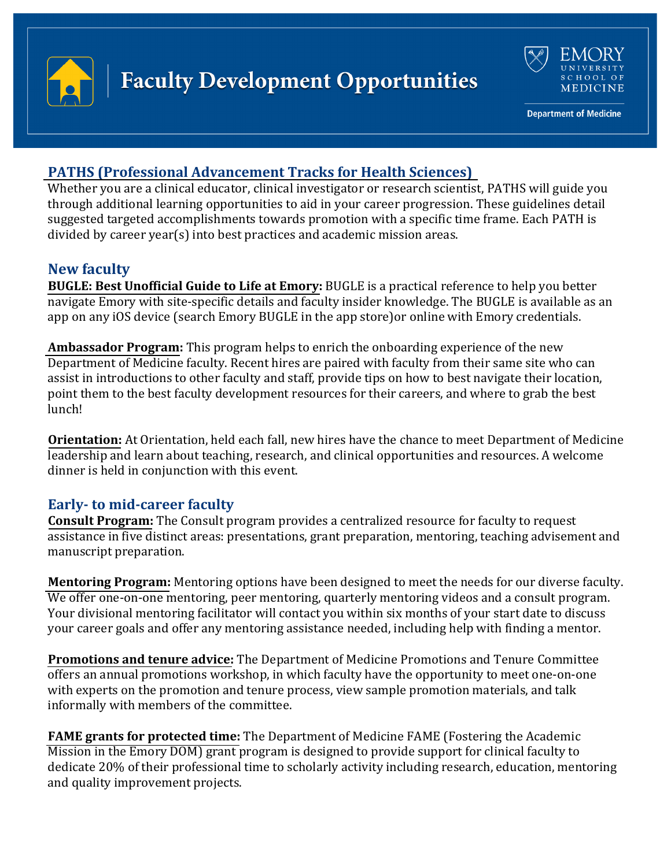



**Department of Medicine** 

## **[PATHS \(Professional Advancement Tracks for](https://med.emory.edu/departments/medicine/faculty-development/programs-resources/paths.html) Health Sciences)**

Whether you are a clinical educator, clinical investigator or research scientist, PATHS will guide you through additional learning opportunities to aid in your career progression. These guidelines detail suggested targeted accomplishments towards promotion with a specific time frame. Each PATH is divided by career year(s) into best practices and academic mission areas.

## **New faculty**

**[BUGLE: Best Unofficial Guide to Life at Emory:](https://secure.web.emory.edu/medicine/bugle/)** BUGLE is a practical reference to help you better navigate Emory with site-specific details and faculty insider knowledge. The BUGLE is available as an app on any iOS device (search Emory BUGLE in the app store)or online with Emory credentials.

**[Ambassador Program:](https://emorymedicine.sjc1.qualtrics.com/jfe/form/SV_9HaoaxoPdCZAsNo)** This program helps to enrich the onboarding experience of the new Department of Medicine faculty. Recent hires are paired with faculty from their same site who can assist in introductions to other faculty and staff, provide tips on how to best navigate their location, point them to the best faculty development resources for their careers, and where to grab the best lunch!

**[Orientation:](https://med.emory.edu/departments/medicine/faculty-development/programs-resources/new-faculty-information.html)** At Orientation, held each fall, new hires have the chance to meet Department of Medicine leadership and learn about teaching, research, and clinical opportunities and resources. A welcome dinner is held in conjunction with this event.

#### **Early- to mid-career faculty**

**Consult [Program:](https://med.emory.edu/departments/medicine/faculty-development/programs-resources/consult-program.html)** The Consult program provides a centralized resource for faculty to request assistance in five distinct areas: presentations, grant preparation, mentoring, teaching advisement and manuscript preparation.

**[Mentoring](https://med.emory.edu/departments/medicine/faculty-development/mentoring.html) Program:** Mentoring options have been designed to meet the needs for our diverse faculty. We offer one-on-one mentoring, peer mentoring, quarterly mentoring videos and a consult program. Your divisional mentoring facilitator will contact you within six months of your start date to discuss your career goals and offer any mentoring assistance needed, including help with finding a mentor.

**[Promotions and](https://med.emory.edu/departments/medicine/faculty-development/promotions-tenure.html) tenure advice:** The Department of Medicine Promotions and Tenure Committee offers an annual promotions workshop, in which faculty have the opportunity to meet one-on-one with experts on the promotion and tenure process, view sample promotion materials, and talk informally with members of the committee.

**[FAME grants for protected time:](https://med.emory.edu/departments/medicine/research/support-programs-resources/funding-opportunities/fame-grants/index.html)** The Department of Medicine FAME (Fostering the Academic Mission in the Emory DOM) grant program is designed to provide support for clinical faculty to dedicate 20% of their professional time to scholarly activity including research, education, mentoring and quality improvement projects.